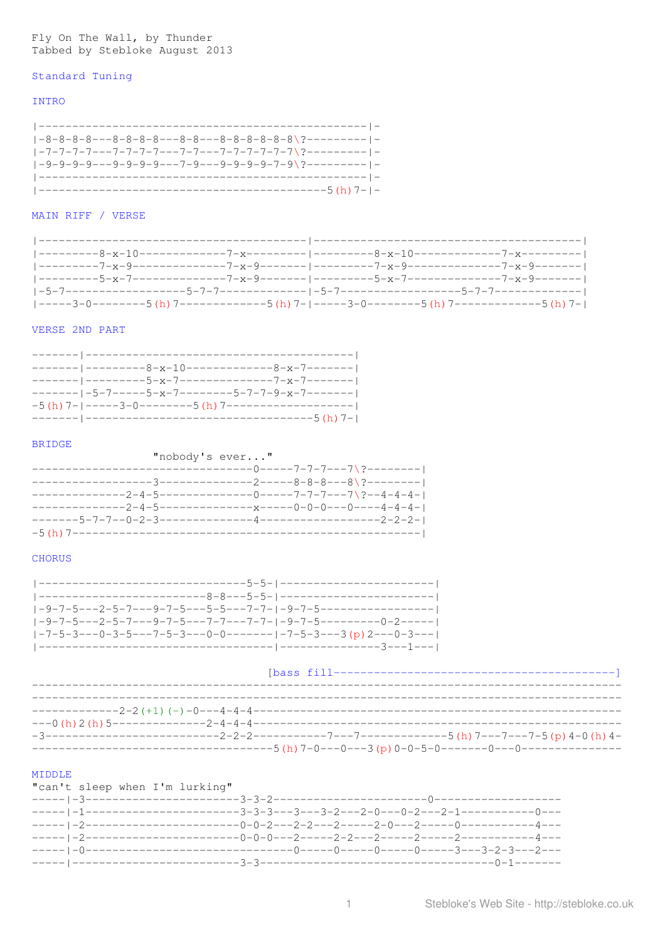# Fly On The Wall, by Thunder Tabbed by Stebloke August 2013

#### Standard Tuning

# **INTRO**

 $1-8-8-8-8---8-8-8-8---8-8---8-8-8-8-8-8-8-8$  $1-9-9-9-9-9-9-9-9-9-9-7-9-9-9-9-9-9-7-9?$ 

# MAIN RIFF / VERSE

| ---------8-x-10-------------7-x---------- ----------8-x-10---------------7-x-----------             |  |  |
|-----------------------------------------------------------------------------------------------------|--|--|
|                                                                                                     |  |  |
| ---------5-x-7-------------7-x-9------- --------5-x-7----------------7-x-9-------                   |  |  |
|                                                                                                     |  |  |
| $ ---3-0------5$ (h) 7-----------5 (h) 7- $ ---3-0------5$ (h) 7- $ ---5-5$ (h) 7----------5 (h) 7- |  |  |

#### VERSE 2ND PART

| ------- ---------8-x-10--------------8-x-7--------     |  |
|--------------------------------------------------------|--|
|                                                        |  |
| ------- -5-7-----5-x-7--------5-7-7-9-x-7--------      |  |
| $-5(h)$ 7- -----3-0--------5 (h) 7-------------------- |  |
|                                                        |  |

## BRIDGE

| "nobody's ever"                                            |                                        |  |  |
|------------------------------------------------------------|----------------------------------------|--|--|
|                                                            | -----------0-----7-7-7---7\?---------- |  |  |
| -------------3--------------2-----8-8-8---8\?---------     |                                        |  |  |
| ------------2-4-5--------------0------7-7-7----7\?--4-4-4- |                                        |  |  |
|                                                            |                                        |  |  |
|                                                            |                                        |  |  |
| -5 (h) 7---------------                                    |                                        |  |  |

## **CHORUS**

| -9-7-5---2-5-7---9-7-5---7-7----7-7- -9-7-5---------0-2------    |
|------------------------------------------------------------------|
| $ -7-5-3---0-3-5---7-5-3---0-0------1-7-5-3---3$ (p) 2---0-3---1 |
| --------------- ---------------3---1---                          |

#### 

|  | --------------5 (h) 7-0---0---3 (p) 0-0-5-0-------0---0---------------- |  |
|--|-------------------------------------------------------------------------|--|

# MIDDLE

\_\_\_\_\_\_\_\_\_\_\_\_\_\_\_\_\_\_\_\_\_\_\_\_\_\_\_

| "can't sleep when I'm lurking" |  |  |
|--------------------------------|--|--|
|                                |  |  |
|                                |  |  |
|                                |  |  |
|                                |  |  |
|                                |  |  |
|                                |  |  |